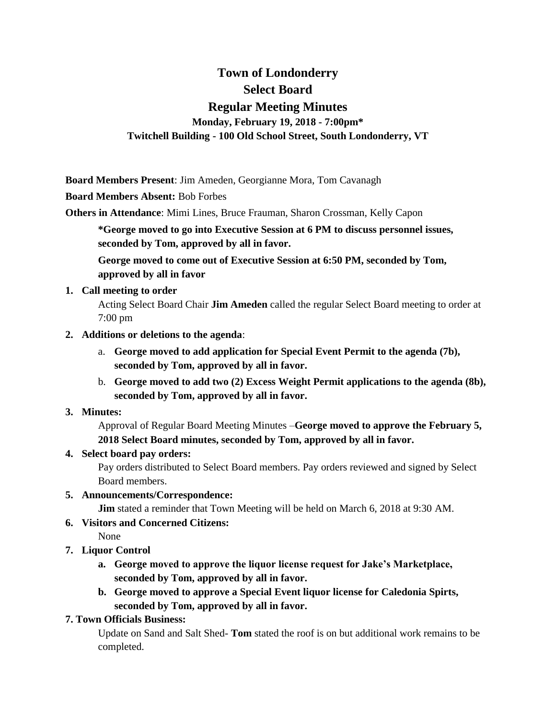# **Town of Londonderry Select Board Regular Meeting Minutes Monday, February 19, 2018 - 7:00pm\* Twitchell Building - 100 Old School Street, South Londonderry, VT**

**Board Members Present**: Jim Ameden, Georgianne Mora, Tom Cavanagh

**Board Members Absent:** Bob Forbes

**Others in Attendance**: Mimi Lines, Bruce Frauman, Sharon Crossman, Kelly Capon

**\*George moved to go into Executive Session at 6 PM to discuss personnel issues, seconded by Tom, approved by all in favor.**

**George moved to come out of Executive Session at 6:50 PM, seconded by Tom, approved by all in favor**

#### **1. Call meeting to order**

Acting Select Board Chair **Jim Ameden** called the regular Select Board meeting to order at 7:00 pm

#### **2. Additions or deletions to the agenda**:

- a. **George moved to add application for Special Event Permit to the agenda (7b), seconded by Tom, approved by all in favor.**
- b. **George moved to add two (2) Excess Weight Permit applications to the agenda (8b), seconded by Tom, approved by all in favor.**

#### **3. Minutes:**

Approval of Regular Board Meeting Minutes –**George moved to approve the February 5, 2018 Select Board minutes, seconded by Tom, approved by all in favor.** 

#### **4. Select board pay orders:**

Pay orders distributed to Select Board members. Pay orders reviewed and signed by Select Board members.

#### **5. Announcements/Correspondence:**

**Jim** stated a reminder that Town Meeting will be held on March 6, 2018 at 9:30 AM.

# **6. Visitors and Concerned Citizens:**

- None
- **7. Liquor Control**
	- **a. George moved to approve the liquor license request for Jake's Marketplace, seconded by Tom, approved by all in favor.**
	- **b. George moved to approve a Special Event liquor license for Caledonia Spirts, seconded by Tom, approved by all in favor.**

#### **7. Town Officials Business:**

Update on Sand and Salt Shed- **Tom** stated the roof is on but additional work remains to be completed.